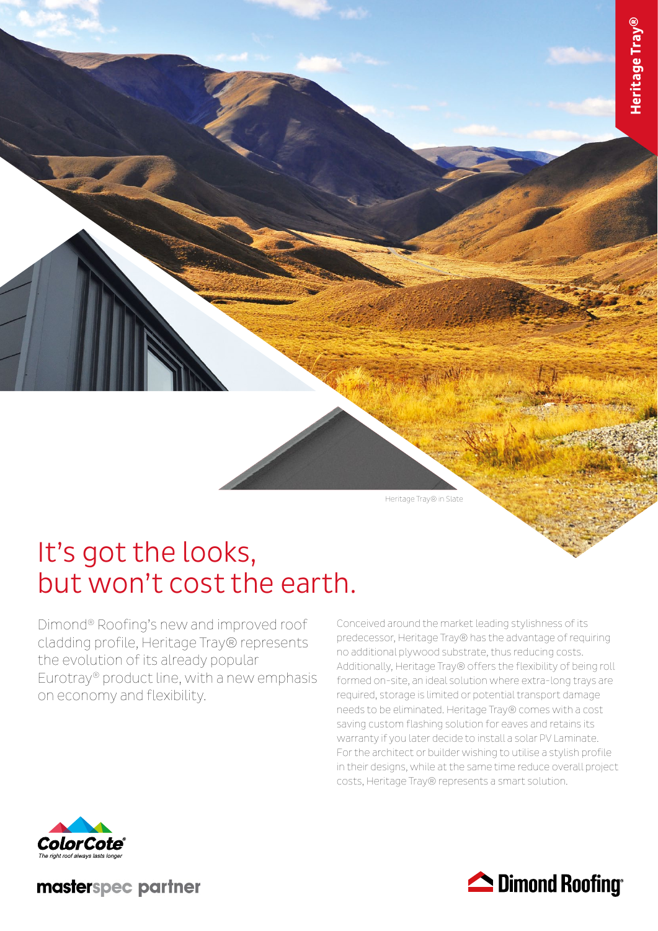Heritage Tray® in Slate

# It's got the looks, but won't cost the earth.

Dimond® Roofing's new and improved roof cladding profile, Heritage Tray® represents the evolution of its already popular Eurotray® product line, with a new emphasis on economy and flexibility.

Conceived around the market leading stylishness of its predecessor, Heritage Tray® has the advantage of requiring no additional plywood substrate, thus reducing costs. Additionally, Heritage Tray® offers the flexibility of being roll formed on-site, an ideal solution where extra-long trays are required, storage is limited or potential transport damage needs to be eliminated. Heritage Tray® comes with a cost saving custom flashing solution for eaves and retains its warranty if you later decide to install a solar PV Laminate. For the architect or builder wishing to utilise a stylish profile in their designs, while at the same time reduce overall project costs, Heritage Tray® represents a smart solution.



masterspec partner